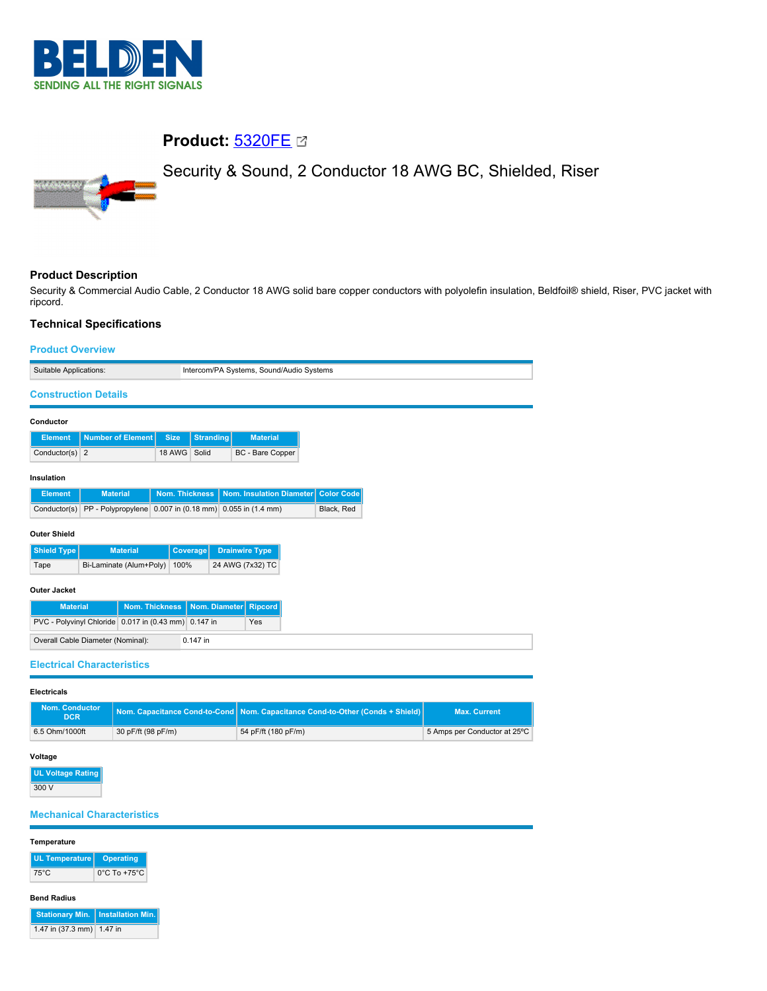

# **Product:** [5320FE](https://catalog.belden.com/index.cfm?event=pd&p=PF_5320FE&tab=downloads)

Security & Sound, 2 Conductor 18 AWG BC, Shielded, Riser



# **Product Description**

Security & Commercial Audio Cable, 2 Conductor 18 AWG solid bare copper conductors with polyolefin insulation, Beldfoil® shield, Riser, PVC jacket with ripcord.

# **Technical Specifications**

| <b>Product Overview</b>                              |                          |                       |                       |                                          |  |                                   |  |            |  |  |  |  |
|------------------------------------------------------|--------------------------|-----------------------|-----------------------|------------------------------------------|--|-----------------------------------|--|------------|--|--|--|--|
| Suitable Applications:                               |                          |                       |                       | Intercom/PA Systems, Sound/Audio Systems |  |                                   |  |            |  |  |  |  |
| <b>Construction Details</b>                          |                          |                       |                       |                                          |  |                                   |  |            |  |  |  |  |
| Conductor                                            |                          |                       |                       |                                          |  |                                   |  |            |  |  |  |  |
| <b>Element</b>                                       | <b>Number of Element</b> |                       | <b>Size</b>           | Stranding                                |  | <b>Material</b>                   |  |            |  |  |  |  |
| Conductor(s) $2$                                     |                          |                       | 18 AWG                | Solid                                    |  | BC - Bare Copper                  |  |            |  |  |  |  |
| Insulation                                           |                          |                       |                       |                                          |  |                                   |  |            |  |  |  |  |
| <b>Element</b>                                       | <b>Material</b>          |                       | <b>Nom. Thickness</b> |                                          |  | <b>Nom. Insulation Diameter</b>   |  | Color Code |  |  |  |  |
| Conductor(s) PP - Polypropylene 0.007 in (0.18 mm)   |                          |                       |                       |                                          |  | $0.055$ in $(1.4$ mm)             |  | Black, Red |  |  |  |  |
| <b>Outer Shield</b>                                  |                          |                       |                       |                                          |  |                                   |  |            |  |  |  |  |
| Shield Type                                          |                          | <b>Material</b>       |                       | <b>Coverage</b>                          |  | <b>Drainwire Type</b>             |  |            |  |  |  |  |
| Tape                                                 | Bi-Laminate (Alum+Poly)  |                       | 100%                  |                                          |  | 24 AWG (7x32) TC                  |  |            |  |  |  |  |
| Outer Jacket                                         |                          |                       |                       |                                          |  |                                   |  |            |  |  |  |  |
| <b>Material</b>                                      |                          | <b>Nom. Thickness</b> |                       | Nom. Diameter                            |  | <b>Ripcord</b>                    |  |            |  |  |  |  |
| PVC - Polyvinyl Chloride 0.017 in (0.43 mm) 0.147 in |                          |                       |                       |                                          |  | Yes                               |  |            |  |  |  |  |
| Overall Cable Diameter (Nominal):                    |                          |                       |                       | 0.147 in                                 |  |                                   |  |            |  |  |  |  |
|                                                      |                          |                       |                       |                                          |  | <b>Electrical Characteristics</b> |  |            |  |  |  |  |

**Electricals**

| <b>Nom. Conductor</b><br>DCR <sup>1</sup> |                    | Nom. Capacitance Cond-to-Cond   Nom. Capacitance Cond-to-Other (Conds + Shield) | <b>Max. Current</b>          |  |
|-------------------------------------------|--------------------|---------------------------------------------------------------------------------|------------------------------|--|
| 6.5 Ohm/1000ft                            | 30 pF/ft (98 pF/m) | 54 pF/ft (180 pF/m)                                                             | 5 Amps per Conductor at 25°C |  |

### **Voltage**

**UL Voltage Rating** 300 V

## **Mechanical Characteristics**

| <b>Operating</b>                         |
|------------------------------------------|
| 0°C To +75°C                             |
|                                          |
| <b>Stationary Min.</b> Installation Min. |
| 1.47 in (37.3 mm) 1.47 in                |
|                                          |